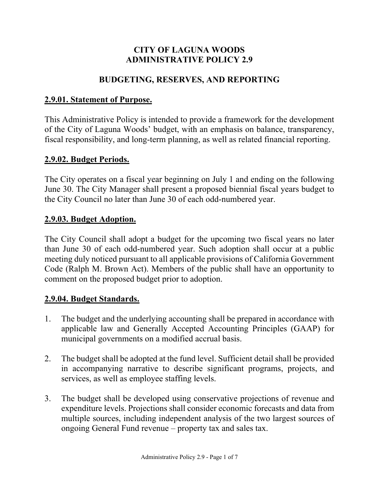### **CITY OF LAGUNA WOODS ADMINISTRATIVE POLICY 2.9**

### **BUDGETING, RESERVES, AND REPORTING**

### **2.9.01. Statement of Purpose.**

This Administrative Policy is intended to provide a framework for the development of the City of Laguna Woods' budget, with an emphasis on balance, transparency, fiscal responsibility, and long-term planning, as well as related financial reporting.

### **2.9.02. Budget Periods.**

The City operates on a fiscal year beginning on July 1 and ending on the following June 30. The City Manager shall present a proposed biennial fiscal years budget to the City Council no later than June 30 of each odd-numbered year.

### **2.9.03. Budget Adoption.**

The City Council shall adopt a budget for the upcoming two fiscal years no later than June 30 of each odd-numbered year. Such adoption shall occur at a public meeting duly noticed pursuant to all applicable provisions of California Government Code (Ralph M. Brown Act). Members of the public shall have an opportunity to comment on the proposed budget prior to adoption.

### **2.9.04. Budget Standards.**

- 1. The budget and the underlying accounting shall be prepared in accordance with applicable law and Generally Accepted Accounting Principles (GAAP) for municipal governments on a modified accrual basis.
- 2. The budget shall be adopted at the fund level. Sufficient detail shall be provided in accompanying narrative to describe significant programs, projects, and services, as well as employee staffing levels.
- 3. The budget shall be developed using conservative projections of revenue and expenditure levels. Projections shall consider economic forecasts and data from multiple sources, including independent analysis of the two largest sources of ongoing General Fund revenue – property tax and sales tax.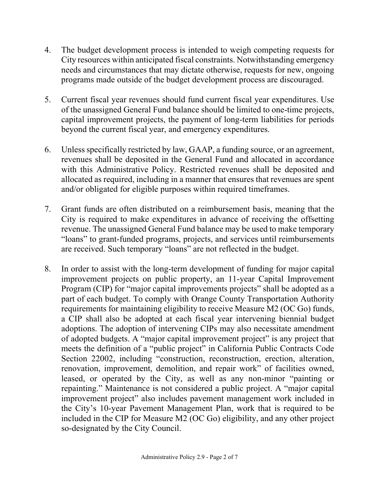- 4. The budget development process is intended to weigh competing requests for City resources within anticipated fiscal constraints. Notwithstanding emergency needs and circumstances that may dictate otherwise, requests for new, ongoing programs made outside of the budget development process are discouraged.
- 5. Current fiscal year revenues should fund current fiscal year expenditures. Use of the unassigned General Fund balance should be limited to one-time projects, capital improvement projects, the payment of long-term liabilities for periods beyond the current fiscal year, and emergency expenditures.
- 6. Unless specifically restricted by law, GAAP, a funding source, or an agreement, revenues shall be deposited in the General Fund and allocated in accordance with this Administrative Policy. Restricted revenues shall be deposited and allocated as required, including in a manner that ensures that revenues are spent and/or obligated for eligible purposes within required timeframes.
- 7. Grant funds are often distributed on a reimbursement basis, meaning that the City is required to make expenditures in advance of receiving the offsetting revenue. The unassigned General Fund balance may be used to make temporary "loans" to grant-funded programs, projects, and services until reimbursements are received. Such temporary "loans" are not reflected in the budget.
- 8. In order to assist with the long-term development of funding for major capital improvement projects on public property, an 11-year Capital Improvement Program (CIP) for "major capital improvements projects" shall be adopted as a part of each budget. To comply with Orange County Transportation Authority requirements for maintaining eligibility to receive Measure M2 (OC Go) funds, a CIP shall also be adopted at each fiscal year intervening biennial budget adoptions. The adoption of intervening CIPs may also necessitate amendment of adopted budgets. A "major capital improvement project" is any project that meets the definition of a "public project" in California Public Contracts Code Section 22002, including "construction, reconstruction, erection, alteration, renovation, improvement, demolition, and repair work" of facilities owned, leased, or operated by the City, as well as any non-minor "painting or repainting." Maintenance is not considered a public project. A "major capital improvement project" also includes pavement management work included in the City's 10-year Pavement Management Plan, work that is required to be included in the CIP for Measure M2 (OC Go) eligibility, and any other project so-designated by the City Council.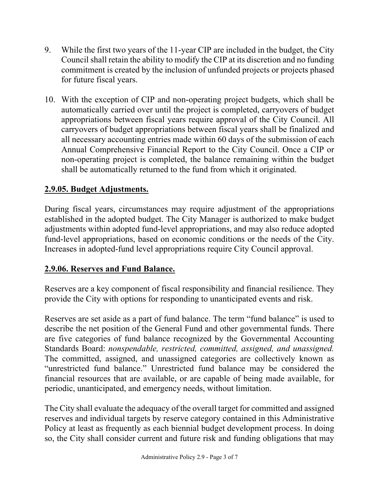- 9. While the first two years of the 11-year CIP are included in the budget, the City Council shall retain the ability to modify the CIP at its discretion and no funding commitment is created by the inclusion of unfunded projects or projects phased for future fiscal years.
- 10. With the exception of CIP and non-operating project budgets, which shall be automatically carried over until the project is completed, carryovers of budget appropriations between fiscal years require approval of the City Council. All carryovers of budget appropriations between fiscal years shall be finalized and all necessary accounting entries made within 60 days of the submission of each Annual Comprehensive Financial Report to the City Council. Once a CIP or non-operating project is completed, the balance remaining within the budget shall be automatically returned to the fund from which it originated.

# **2.9.05. Budget Adjustments.**

During fiscal years, circumstances may require adjustment of the appropriations established in the adopted budget. The City Manager is authorized to make budget adjustments within adopted fund-level appropriations, and may also reduce adopted fund-level appropriations, based on economic conditions or the needs of the City. Increases in adopted-fund level appropriations require City Council approval.

### **2.9.06. Reserves and Fund Balance.**

Reserves are a key component of fiscal responsibility and financial resilience. They provide the City with options for responding to unanticipated events and risk.

Reserves are set aside as a part of fund balance. The term "fund balance" is used to describe the net position of the General Fund and other governmental funds. There are five categories of fund balance recognized by the Governmental Accounting Standards Board: *nonspendable, restricted, committed, assigned, and unassigned.*  The committed, assigned, and unassigned categories are collectively known as "unrestricted fund balance." Unrestricted fund balance may be considered the financial resources that are available, or are capable of being made available, for periodic, unanticipated, and emergency needs, without limitation.

The City shall evaluate the adequacy of the overall target for committed and assigned reserves and individual targets by reserve category contained in this Administrative Policy at least as frequently as each biennial budget development process. In doing so, the City shall consider current and future risk and funding obligations that may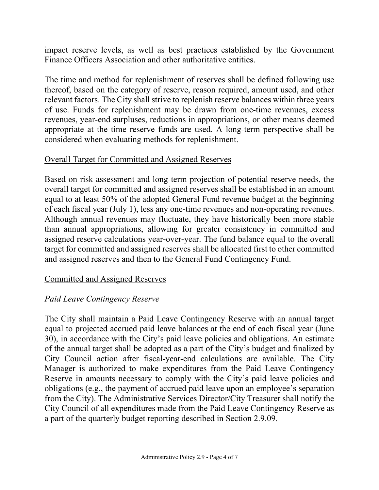impact reserve levels, as well as best practices established by the Government Finance Officers Association and other authoritative entities.

The time and method for replenishment of reserves shall be defined following use thereof, based on the category of reserve, reason required, amount used, and other relevant factors. The City shall strive to replenish reserve balances within three years of use. Funds for replenishment may be drawn from one-time revenues, excess revenues, year-end surpluses, reductions in appropriations, or other means deemed appropriate at the time reserve funds are used. A long-term perspective shall be considered when evaluating methods for replenishment.

#### Overall Target for Committed and Assigned Reserves

Based on risk assessment and long-term projection of potential reserve needs, the overall target for committed and assigned reserves shall be established in an amount equal to at least 50% of the adopted General Fund revenue budget at the beginning of each fiscal year (July 1), less any one-time revenues and non-operating revenues. Although annual revenues may fluctuate, they have historically been more stable than annual appropriations, allowing for greater consistency in committed and assigned reserve calculations year-over-year. The fund balance equal to the overall target for committed and assigned reserves shall be allocated first to other committed and assigned reserves and then to the General Fund Contingency Fund.

#### Committed and Assigned Reserves

### *Paid Leave Contingency Reserve*

The City shall maintain a Paid Leave Contingency Reserve with an annual target equal to projected accrued paid leave balances at the end of each fiscal year (June 30), in accordance with the City's paid leave policies and obligations. An estimate of the annual target shall be adopted as a part of the City's budget and finalized by City Council action after fiscal-year-end calculations are available. The City Manager is authorized to make expenditures from the Paid Leave Contingency Reserve in amounts necessary to comply with the City's paid leave policies and obligations (e.g., the payment of accrued paid leave upon an employee's separation from the City). The Administrative Services Director/City Treasurer shall notify the City Council of all expenditures made from the Paid Leave Contingency Reserve as a part of the quarterly budget reporting described in Section 2.9.09.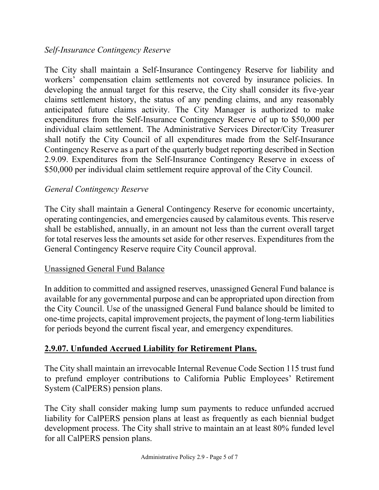### *Self-Insurance Contingency Reserve*

The City shall maintain a Self-Insurance Contingency Reserve for liability and workers' compensation claim settlements not covered by insurance policies. In developing the annual target for this reserve, the City shall consider its five-year claims settlement history, the status of any pending claims, and any reasonably anticipated future claims activity. The City Manager is authorized to make expenditures from the Self-Insurance Contingency Reserve of up to \$50,000 per individual claim settlement. The Administrative Services Director/City Treasurer shall notify the City Council of all expenditures made from the Self-Insurance Contingency Reserve as a part of the quarterly budget reporting described in Section 2.9.09. Expenditures from the Self-Insurance Contingency Reserve in excess of \$50,000 per individual claim settlement require approval of the City Council.

#### *General Contingency Reserve*

The City shall maintain a General Contingency Reserve for economic uncertainty, operating contingencies, and emergencies caused by calamitous events. This reserve shall be established, annually, in an amount not less than the current overall target for total reserves less the amounts set aside for other reserves. Expenditures from the General Contingency Reserve require City Council approval.

#### Unassigned General Fund Balance

In addition to committed and assigned reserves, unassigned General Fund balance is available for any governmental purpose and can be appropriated upon direction from the City Council. Use of the unassigned General Fund balance should be limited to one-time projects, capital improvement projects, the payment of long-term liabilities for periods beyond the current fiscal year, and emergency expenditures.

### **2.9.07. Unfunded Accrued Liability for Retirement Plans.**

The City shall maintain an irrevocable Internal Revenue Code Section 115 trust fund to prefund employer contributions to California Public Employees' Retirement System (CalPERS) pension plans.

The City shall consider making lump sum payments to reduce unfunded accrued liability for CalPERS pension plans at least as frequently as each biennial budget development process. The City shall strive to maintain an at least 80% funded level for all CalPERS pension plans.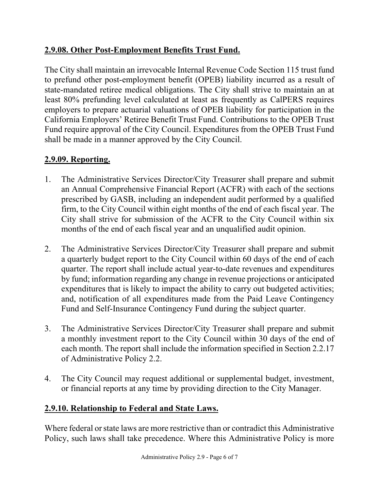# **2.9.08. Other Post-Employment Benefits Trust Fund.**

The City shall maintain an irrevocable Internal Revenue Code Section 115 trust fund to prefund other post-employment benefit (OPEB) liability incurred as a result of state-mandated retiree medical obligations. The City shall strive to maintain an at least 80% prefunding level calculated at least as frequently as CalPERS requires employers to prepare actuarial valuations of OPEB liability for participation in the California Employers' Retiree Benefit Trust Fund. Contributions to the OPEB Trust Fund require approval of the City Council. Expenditures from the OPEB Trust Fund shall be made in a manner approved by the City Council.

## **2.9.09. Reporting.**

- 1. The Administrative Services Director/City Treasurer shall prepare and submit an Annual Comprehensive Financial Report (ACFR) with each of the sections prescribed by GASB, including an independent audit performed by a qualified firm, to the City Council within eight months of the end of each fiscal year. The City shall strive for submission of the ACFR to the City Council within six months of the end of each fiscal year and an unqualified audit opinion.
- 2. The Administrative Services Director/City Treasurer shall prepare and submit a quarterly budget report to the City Council within 60 days of the end of each quarter. The report shall include actual year-to-date revenues and expenditures by fund; information regarding any change in revenue projections or anticipated expenditures that is likely to impact the ability to carry out budgeted activities; and, notification of all expenditures made from the Paid Leave Contingency Fund and Self-Insurance Contingency Fund during the subject quarter.
- 3. The Administrative Services Director/City Treasurer shall prepare and submit a monthly investment report to the City Council within 30 days of the end of each month. The report shall include the information specified in Section 2.2.17 of Administrative Policy 2.2.
- 4. The City Council may request additional or supplemental budget, investment, or financial reports at any time by providing direction to the City Manager.

## **2.9.10. Relationship to Federal and State Laws.**

Where federal or state laws are more restrictive than or contradict this Administrative Policy, such laws shall take precedence. Where this Administrative Policy is more